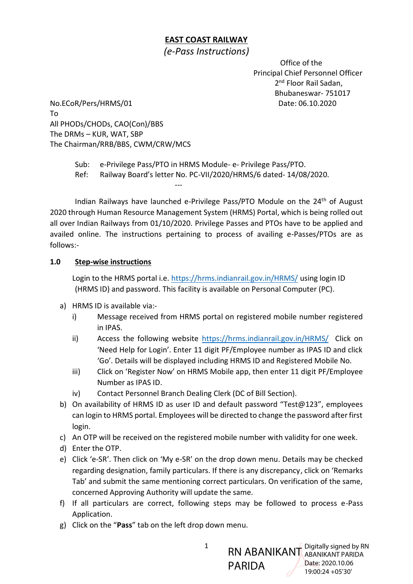## **EAST COAST RAILWAY**

# *(e-Pass Instructions)*

 Office of the Principal Chief Personnel Officer 2<sup>nd</sup> Floor Rail Sadan, Bhubaneswar- 751017

No.ECoR/Pers/HRMS/01 Date: 06.10.2020 To All PHODs/CHODs, CAO(Con)/BBS The DRMs – KUR, WAT, SBP The Chairman/RRB/BBS, CWM/CRW/MCS

Sub: e-Privilege Pass/PTO in HRMS Module- e- Privilege Pass/PTO. Ref: Railway Board's letter No. PC-VII/2020/HRMS/6 dated- 14/08/2020. ---

Indian Railways have launched e-Privilege Pass/PTO Module on the 24<sup>th</sup> of August 2020 through Human Resource Management System (HRMS) Portal, which is being rolled out all over Indian Railways from 01/10/2020. Privilege Passes and PTOs have to be applied and availed online. The instructions pertaining to process of availing e-Passes/PTOs are as follows:-

### **1.0 Step-wise instructions**

Login to the HRMS portal i.e. <https://hrms.indianrail.gov.in/HRMS/> using login ID (HRMS ID) and password. This facility is available on Personal Computer (PC).

- a) HRMS ID is available via:
	- i) Message received from HRMS portal on registered mobile number registered in IPAS.
	- ii) Access the following website <https://hrms.indianrail.gov.in/HRMS/> Click on 'Need Help for Login'. Enter 11 digit PF/Employee number as IPAS ID and click 'Go'. Details will be displayed including HRMS ID and Registered Mobile No.
	- iii) Click on 'Register Now' on HRMS Mobile app, then enter 11 digit PF/Employee Number as IPAS ID.
	- iv) Contact Personnel Branch Dealing Clerk (DC of Bill Section).
- b) On availability of HRMS ID as user ID and default password "Test@123", employees can login to HRMS portal. Employees will be directed to change the password after first login.
- c) An OTP will be received on the registered mobile number with validity for one week.
- d) Enter the OTP.
- e) Click 'e-SR'. Then click on 'My e-SR' on the drop down menu. Details may be checked regarding designation, family particulars. If there is any discrepancy, click on 'Remarks Tab' and submit the same mentioning correct particulars. On verification of the same, concerned Approving Authority will update the same.
- f) If all particulars are correct, following steps may be followed to process e-Pass Application.
- g) Click on the "**Pass**" tab on the left drop down menu.

RN ABANIKANT Digitally signed by RN PARIDA ABANIKANT PARIDA Date: 2020.10.06 19:00:24 +05'30'

1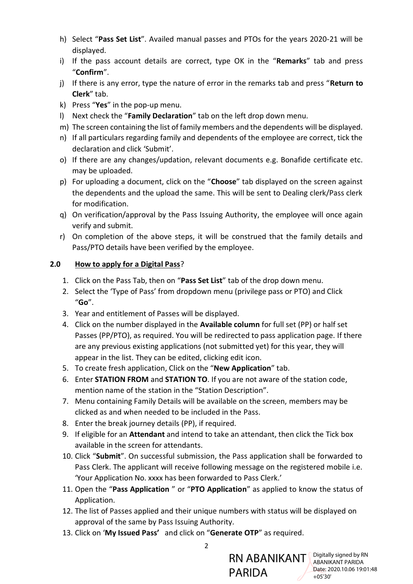- h) Select "**Pass Set List**". Availed manual passes and PTOs for the years 2020-21 will be displayed.
- i) If the pass account details are correct, type OK in the "**Remarks**" tab and press "**Confirm**".
- j) If there is any error, type the nature of error in the remarks tab and press "**Return to Clerk**" tab.
- k) Press "**Yes**" in the pop-up menu.
- l) Next check the "**Family Declaration**" tab on the left drop down menu.
- m) The screen containing the list of family members and the dependents will be displayed.
- n) If all particulars regarding family and dependents of the employee are correct, tick the declaration and click 'Submit'.
- o) If there are any changes/updation, relevant documents e.g. Bonafide certificate etc. may be uploaded.
- p) For uploading a document, click on the "**Choose**" tab displayed on the screen against the dependents and the upload the same. This will be sent to Dealing clerk/Pass clerk for modification.
- q) On verification/approval by the Pass Issuing Authority, the employee will once again verify and submit.
- r) On completion of the above steps, it will be construed that the family details and Pass/PTO details have been verified by the employee.

### **2.0 How to apply for a Digital Pass**?

- 1. Click on the Pass Tab, then on "**Pass Set List**" tab of the drop down menu.
- 2. Select the 'Type of Pass' from dropdown menu (privilege pass or PTO) and Click "**Go**".
- 3. Year and entitlement of Passes will be displayed.
- 4. Click on the number displayed in the **Available column** for full set (PP) or half set Passes (PP/PTO), as required. You will be redirected to pass application page. If there are any previous existing applications (not submitted yet) for this year, they will appear in the list. They can be edited, clicking edit icon.
- 5. To create fresh application, Click on the "**New Application**" tab.
- 6. Enter **STATION FROM** and **STATION TO**. If you are not aware of the station code, mention name of the station in the "Station Description".
- 7. Menu containing Family Details will be available on the screen, members may be clicked as and when needed to be included in the Pass.
- 8. Enter the break journey details (PP), if required.
- 9. If eligible for an **Attendant** and intend to take an attendant, then click the Tick box available in the screen for attendants.
- 10. Click "**Submit**". On successful submission, the Pass application shall be forwarded to Pass Clerk. The applicant will receive following message on the registered mobile i.e. 'Your Application No. xxxx has been forwarded to Pass Clerk.'
- 11. Open the "**Pass Application** " or "**PTO Application**" as applied to know the status of Application.
- 12. The list of Passes applied and their unique numbers with status will be displayed on approval of the same by Pass Issuing Authority.
- 13. Click on '**My Issued Pass'** and click on "**Generate OTP**" as required.



2